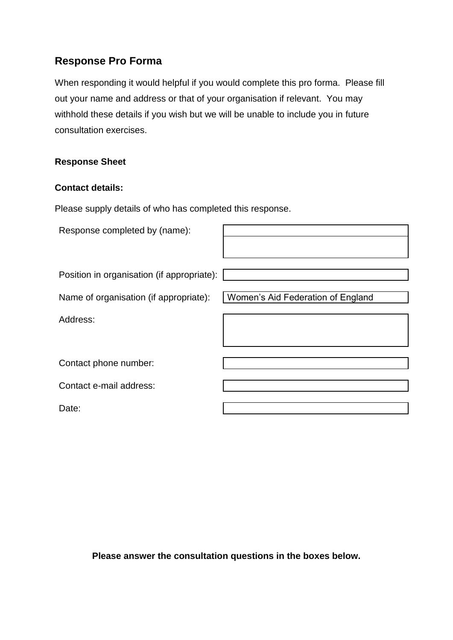# **Response Pro Forma**

When responding it would helpful if you would complete this pro forma. Please fill out your name and address or that of your organisation if relevant. You may withhold these details if you wish but we will be unable to include you in future consultation exercises.

# **Response Sheet**

# **Contact details:**

Please supply details of who has completed this response.

Response completed by (name):

Position in organisation (if appropriate):

Name of organisation (if appropriate): Women's Aid Federation of England

Address:

Contact phone number:

Contact e-mail address:

Date:

**Please answer the consultation questions in the boxes below.**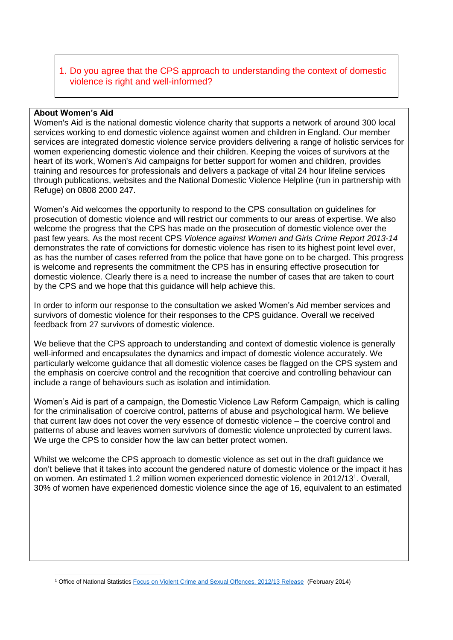### 1. Do you agree that the CPS approach to understanding the context of domestic violence is right and well-informed?

#### **About Women's Aid**

1

Women's Aid is the national domestic violence charity that supports a network of around 300 local services working to end domestic violence against women and children in England. Our member services are integrated domestic violence service providers delivering a range of holistic services for women experiencing domestic violence and their children. Keeping the voices of survivors at the heart of its work, Women's Aid campaigns for better support for women and children, provides training and resources for professionals and delivers a package of vital 24 hour lifeline services through publications, websites and the National Domestic Violence Helpline (run in partnership with Refuge) on 0808 2000 247.

Women's Aid welcomes the opportunity to respond to the CPS consultation on guidelines for prosecution of domestic violence and will restrict our comments to our areas of expertise. We also welcome the progress that the CPS has made on the prosecution of domestic violence over the past few years. As the most recent CPS *Violence against Women and Girls Crime Report 2013-14*  demonstrates the rate of convictions for domestic violence has risen to its highest point level ever, as has the number of cases referred from the police that have gone on to be charged. This progress is welcome and represents the commitment the CPS has in ensuring effective prosecution for domestic violence. Clearly there is a need to increase the number of cases that are taken to court by the CPS and we hope that this guidance will help achieve this.

In order to inform our response to the consultation we asked Women's Aid member services and survivors of domestic violence for their responses to the CPS guidance. Overall we received feedback from 27 survivors of domestic violence.

We believe that the CPS approach to understanding and context of domestic violence is generally well-informed and encapsulates the dynamics and impact of domestic violence accurately. We particularly welcome guidance that all domestic violence cases be flagged on the CPS system and the emphasis on coercive control and the recognition that coercive and controlling behaviour can include a range of behaviours such as isolation and intimidation.

Women's Aid is part of a campaign, the Domestic Violence Law Reform Campaign, which is calling for the criminalisation of coercive control, patterns of abuse and psychological harm. We believe that current law does not cover the very essence of domestic violence – the coercive control and patterns of abuse and leaves women survivors of domestic violence unprotected by current laws. We urge the CPS to consider how the law can better protect women.

Whilst we welcome the CPS approach to domestic violence as set out in the draft guidance we don't believe that it takes into account the gendered nature of domestic violence or the impact it has on women. An estimated 1.2 million women experienced domestic violence in 2012/13<sup>1</sup>. Overall, 30% of women have experienced domestic violence since the age of 16, equivalent to an estimated

<sup>1</sup> Office of National Statistics [Focus on Violent Crime and Sexual Offences, 2012/13 Release](http://www.ons.gov.uk/ons/rel/crime-stats/crime-statistics/focus-on-violent-crime-and-sexual-offences--2012-13/index.html) (February 2014)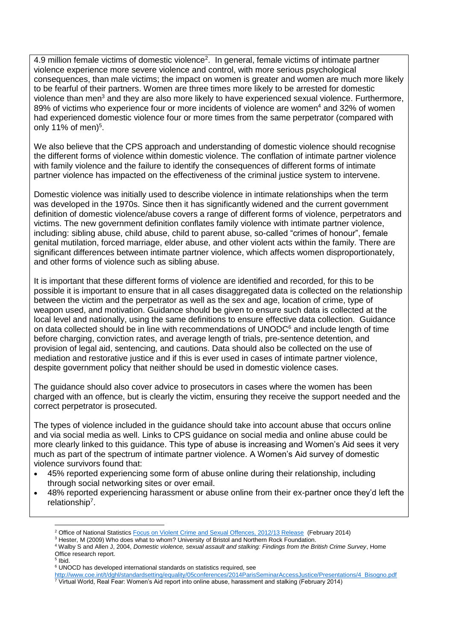4.9 million female victims of domestic violence<sup>2</sup>. In general, female victims of intimate partner violence experience more severe violence and control, with more serious psychological consequences, than male victims; the impact on women is greater and women are much more likely to be fearful of their partners. Women are three times more likely to be arrested for domestic violence than men<sup>3</sup> and they are also more likely to have experienced sexual violence. Furthermore, 89% of victims who experience four or more incidents of violence are women<sup>4</sup> and 32% of women had experienced domestic violence four or more times from the same perpetrator (compared with only 11% of men $)^5$ .

We also believe that the CPS approach and understanding of domestic violence should recognise the different forms of violence within domestic violence. The conflation of intimate partner violence with family violence and the failure to identify the consequences of different forms of intimate partner violence has impacted on the effectiveness of the criminal justice system to intervene.

Domestic violence was initially used to describe violence in intimate relationships when the term was developed in the 1970s. Since then it has significantly widened and the current government definition of domestic violence/abuse covers a range of different forms of violence, perpetrators and victims. The new government definition conflates family violence with intimate partner violence, including: sibling abuse, child abuse, child to parent abuse, so-called "crimes of honour", female genital mutilation, forced marriage, elder abuse, and other violent acts within the family. There are significant differences between intimate partner violence, which affects women disproportionately, and other forms of violence such as sibling abuse.

It is important that these different forms of violence are identified and recorded, for this to be possible it is important to ensure that in all cases disaggregated data is collected on the relationship between the victim and the perpetrator as well as the sex and age, location of crime, type of weapon used, and motivation. Guidance should be given to ensure such data is collected at the local level and nationally, using the same definitions to ensure effective data collection. Guidance on data collected should be in line with recommendations of UNODC<sup>6</sup> and include length of time before charging, conviction rates, and average length of trials, pre-sentence detention, and provision of legal aid, sentencing, and cautions. Data should also be collected on the use of mediation and restorative justice and if this is ever used in cases of intimate partner violence, despite government policy that neither should be used in domestic violence cases.

The guidance should also cover advice to prosecutors in cases where the women has been charged with an offence, but is clearly the victim, ensuring they receive the support needed and the correct perpetrator is prosecuted.

The types of violence included in the guidance should take into account abuse that occurs online and via social media as well. Links to CPS guidance on social media and online abuse could be more clearly linked to this guidance. This type of abuse is increasing and Women's Aid sees it very much as part of the spectrum of intimate partner violence. A Women's Aid survey of domestic violence survivors found that:

- 45% reported experiencing some form of abuse online during their relationship, including through social networking sites or over email.
- 48% reported experiencing harassment or abuse online from their ex-partner once they'd left the relationship<sup>7</sup>.

<u>.</u>

<sup>&</sup>lt;sup>2</sup> Office of National Statistics [Focus on Violent Crime and Sexual Offences, 2012/13 Release](http://www.ons.gov.uk/ons/rel/crime-stats/crime-statistics/focus-on-violent-crime-and-sexual-offences--2012-13/index.html) (February 2014)

<sup>&</sup>lt;sup>3</sup> Hester, M (2009) Who does what to whom? University of Bristol and Northern Rock Foundation.

<sup>4</sup> Walby S and Allen J, 2004, *Domestic violence, sexual assault and stalking: Findings from the British Crime Survey*, Home Office research report.

<sup>5</sup> Ibid.

<sup>6</sup> UNOCD has developed international standards on statistics required, see

[http://www.coe.int/t/dghl/standardsetting/equality/05conferences/2014ParisSeminarAccessJustice/Presentations/4\\_Bisogno.pdf](http://www.coe.int/t/dghl/standardsetting/equality/05conferences/2014ParisSeminarAccessJustice/Presentations/4_Bisogno.pdf) <sup>7</sup> Virtual World, Real Fear: Women's Aid report into online abuse, harassment and stalking (February 2014)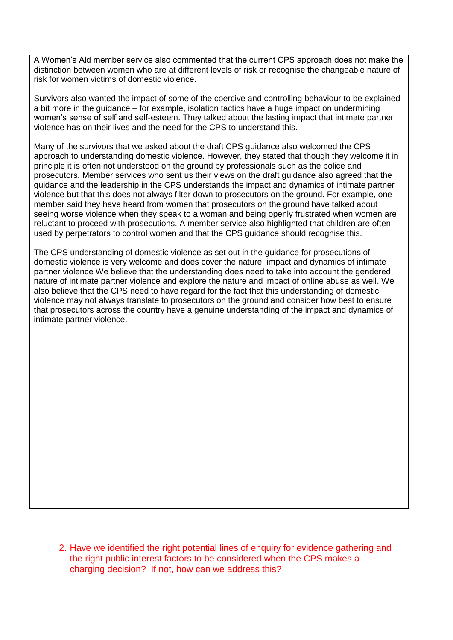A Women's Aid member service also commented that the current CPS approach does not make the distinction between women who are at different levels of risk or recognise the changeable nature of risk for women victims of domestic violence.

Survivors also wanted the impact of some of the coercive and controlling behaviour to be explained a bit more in the guidance – for example, isolation tactics have a huge impact on undermining women's sense of self and self-esteem. They talked about the lasting impact that intimate partner violence has on their lives and the need for the CPS to understand this.

Many of the survivors that we asked about the draft CPS guidance also welcomed the CPS approach to understanding domestic violence. However, they stated that though they welcome it in principle it is often not understood on the ground by professionals such as the police and prosecutors. Member services who sent us their views on the draft guidance also agreed that the guidance and the leadership in the CPS understands the impact and dynamics of intimate partner violence but that this does not always filter down to prosecutors on the ground. For example, one member said they have heard from women that prosecutors on the ground have talked about seeing worse violence when they speak to a woman and being openly frustrated when women are reluctant to proceed with prosecutions. A member service also highlighted that children are often used by perpetrators to control women and that the CPS guidance should recognise this.

The CPS understanding of domestic violence as set out in the guidance for prosecutions of domestic violence is very welcome and does cover the nature, impact and dynamics of intimate partner violence We believe that the understanding does need to take into account the gendered nature of intimate partner violence and explore the nature and impact of online abuse as well. We also believe that the CPS need to have regard for the fact that this understanding of domestic violence may not always translate to prosecutors on the ground and consider how best to ensure that prosecutors across the country have a genuine understanding of the impact and dynamics of intimate partner violence.

2. Have we identified the right potential lines of enquiry for evidence gathering and the right public interest factors to be considered when the CPS makes a charging decision? If not, how can we address this?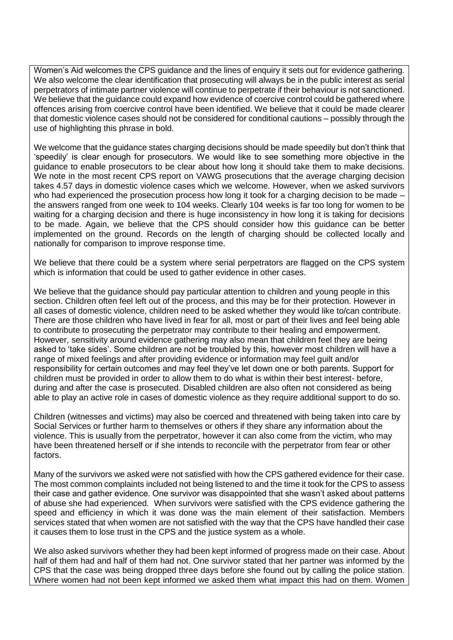Women's Aid welcomes the CPS guidance and the lines of enquiry it sets out for evidence gathering. We also welcome the clear identification that prosecuting will always be in the public interest as serial perpetrators of intimate partner violence will continue to perpetrate if their behaviour is not sanctioned. We believe that the quidance could expand how evidence of coercive control could be gathered where offences arising from coercive control have been identified. We believe that it could be made clearer that domestic violence cases should not be considered for conditional cautions – possibly through the use of highlighting this phrase in bold.

We welcome that the guidance states charging decisions should be made speedily but don't think that 'speedily' is clear enough for prosecutors. We would like to see something more objective in the guidance to enable prosecutors to be clear about how long it should take them to make decisions. We note in the most recent CPS report on VAWG prosecutions that the average charging decision takes 4.57 days in domestic violence cases which we welcome. However, when we asked survivors who had experienced the prosecution process how long it took for a charging decision to be made the answers ranged from one week to 104 weeks. Clearly 104 weeks is far too long for women to be waiting for a charging decision and there is huge inconsistency in how long it is taking for decisions to be made. Again, we believe that the CPS should consider how this guidance can be better implemented on the ground. Records on the length of charging should be collected locally and nationally for comparison to improve response time.

We believe that there could be a system where serial perpetrators are flagged on the CPS system which is information that could be used to gather evidence in other cases.

We believe that the guidance should pay particular attention to children and young people in this section. Children often feel left out of the process, and this may be for their protection. However in all cases of domestic violence, children need to be asked whether they would like to/can contribute. There are those children who have lived in fear for all, most or part of their lives and feel being able to contribute to prosecuting the perpetrator may contribute to their healing and empowerment. However, sensitivity around evidence gathering may also mean that children feel they are being asked to 'take sides'. Some children are not be troubled by this, however most children will have a range of mixed feelings and after providing evidence or information may feel guilt and/or responsibility for certain outcomes and may feel they've let down one or both parents. Support for children must be provided in order to allow them to do what is within their best interest- before, during and after the case is prosecuted. Disabled children are also often not considered as being able to play an active role in cases of domestic violence as they require additional support to do so.

Children (witnesses and victims) may also be coerced and threatened with being taken into care by Social Services or further harm to themselves or others if they share any information about the violence. This is usually from the perpetrator, however it can also come from the victim, who may have been threatened herself or if she intends to reconcile with the perpetrator from fear or other factors.

Many of the survivors we asked were not satisfied with how the CPS gathered evidence for their case. The most common complaints included not being listened to and the time it took for the CPS to assess their case and gather evidence. One survivor was disappointed that she wasn't asked about patterns of abuse she had experienced. When survivors were satisfied with the CPS evidence gathering the speed and efficiency in which it was done was the main element of their satisfaction. Members services stated that when women are not satisfied with the way that the CPS have handled their case it causes them to lose trust in the CPS and the justice system as a whole.

We also asked survivors whether they had been kept informed of progress made on their case. About half of them had and half of them had not. One survivor stated that her partner was informed by the CPS that the case was being dropped three days before she found out by calling the police station. Where women had not been kept informed we asked them what impact this had on them. Women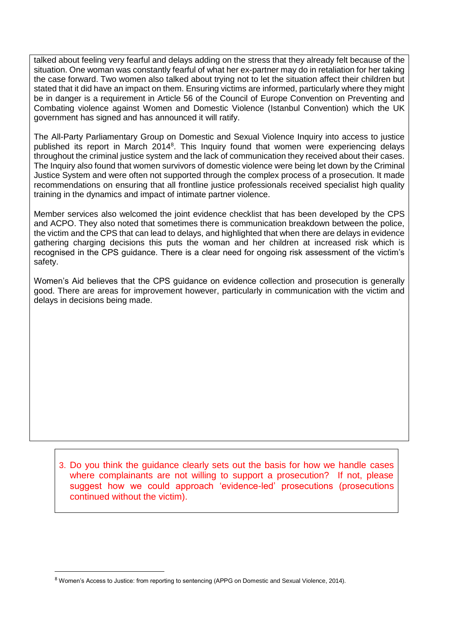talked about feeling very fearful and delays adding on the stress that they already felt because of the situation. One woman was constantly fearful of what her ex-partner may do in retaliation for her taking the case forward. Two women also talked about trying not to let the situation affect their children but stated that it did have an impact on them. Ensuring victims are informed, particularly where they might be in danger is a requirement in Article 56 of the Council of Europe Convention on Preventing and Combating violence against Women and Domestic Violence (Istanbul Convention) which the UK government has signed and has announced it will ratify.

The All-Party Parliamentary Group on Domestic and Sexual Violence Inquiry into access to justice published its report in March 2014<sup>8</sup>. This Inquiry found that women were experiencing delays throughout the criminal justice system and the lack of communication they received about their cases. The Inquiry also found that women survivors of domestic violence were being let down by the Criminal Justice System and were often not supported through the complex process of a prosecution. It made recommendations on ensuring that all frontline justice professionals received specialist high quality training in the dynamics and impact of intimate partner violence.

Member services also welcomed the joint evidence checklist that has been developed by the CPS and ACPO. They also noted that sometimes there is communication breakdown between the police, the victim and the CPS that can lead to delays, and highlighted that when there are delays in evidence gathering charging decisions this puts the woman and her children at increased risk which is recognised in the CPS guidance. There is a clear need for ongoing risk assessment of the victim's safety.

Women's Aid believes that the CPS guidance on evidence collection and prosecution is generally good. There are areas for improvement however, particularly in communication with the victim and delays in decisions being made.

3. Do you think the guidance clearly sets out the basis for how we handle cases where complainants are not willing to support a prosecution? If not, please suggest how we could approach 'evidence-led' prosecutions (prosecutions continued without the victim).

1

<sup>8</sup> Women's Access to Justice: from reporting to sentencing (APPG on Domestic and Sexual Violence, 2014).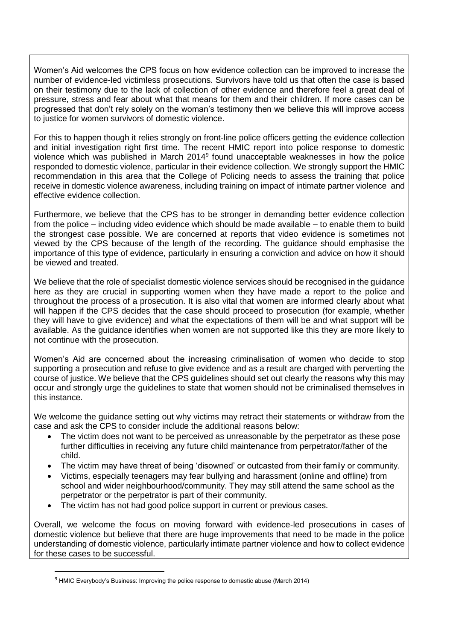Women's Aid welcomes the CPS focus on how evidence collection can be improved to increase the number of evidence-led victimless prosecutions. Survivors have told us that often the case is based on their testimony due to the lack of collection of other evidence and therefore feel a great deal of pressure, stress and fear about what that means for them and their children. If more cases can be progressed that don't rely solely on the woman's testimony then we believe this will improve access to justice for women survivors of domestic violence.

For this to happen though it relies strongly on front-line police officers getting the evidence collection and initial investigation right first time. The recent HMIC report into police response to domestic violence which was published in March 2014<sup>9</sup> found unacceptable weaknesses in how the police responded to domestic violence, particular in their evidence collection. We strongly support the HMIC recommendation in this area that the College of Policing needs to assess the training that police receive in domestic violence awareness, including training on impact of intimate partner violence and effective evidence collection.

Furthermore, we believe that the CPS has to be stronger in demanding better evidence collection from the police – including video evidence which should be made available – to enable them to build the strongest case possible. We are concerned at reports that video evidence is sometimes not viewed by the CPS because of the length of the recording. The guidance should emphasise the importance of this type of evidence, particularly in ensuring a conviction and advice on how it should be viewed and treated.

We believe that the role of specialist domestic violence services should be recognised in the guidance here as they are crucial in supporting women when they have made a report to the police and throughout the process of a prosecution. It is also vital that women are informed clearly about what will happen if the CPS decides that the case should proceed to prosecution (for example, whether they will have to give evidence) and what the expectations of them will be and what support will be available. As the guidance identifies when women are not supported like this they are more likely to not continue with the prosecution.

Women's Aid are concerned about the increasing criminalisation of women who decide to stop supporting a prosecution and refuse to give evidence and as a result are charged with perverting the course of justice. We believe that the CPS guidelines should set out clearly the reasons why this may occur and strongly urge the guidelines to state that women should not be criminalised themselves in this instance.

We welcome the guidance setting out why victims may retract their statements or withdraw from the case and ask the CPS to consider include the additional reasons below:

- The victim does not want to be perceived as unreasonable by the perpetrator as these pose further difficulties in receiving any future child maintenance from perpetrator/father of the child.
- The victim may have threat of being 'disowned' or outcasted from their family or community.
- Victims, especially teenagers may fear bullying and harassment (online and offline) from school and wider neighbourhood/community. They may still attend the same school as the perpetrator or the perpetrator is part of their community.
- The victim has not had good police support in current or previous cases.

Overall, we welcome the focus on moving forward with evidence-led prosecutions in cases of domestic violence but believe that there are huge improvements that need to be made in the police understanding of domestic violence, particularly intimate partner violence and how to collect evidence for these cases to be successful.

1

<sup>&</sup>lt;sup>9</sup> HMIC Everybody's Business: Improving the police response to domestic abuse (March 2014)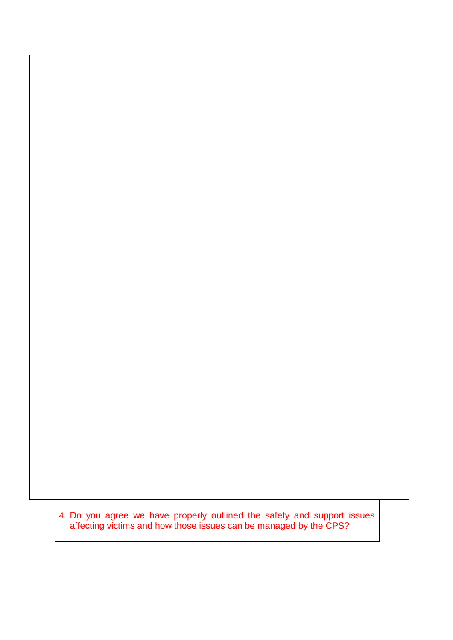4. Do you agree we have properly outlined the safety and support issues affecting victims and how those issues can be managed by the CPS?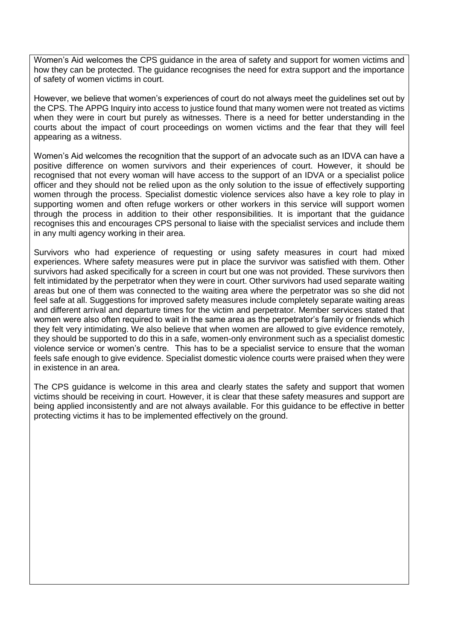Women's Aid welcomes the CPS guidance in the area of safety and support for women victims and how they can be protected. The quidance recognises the need for extra support and the importance of safety of women victims in court.

However, we believe that women's experiences of court do not always meet the guidelines set out by the CPS. The APPG Inquiry into access to justice found that many women were not treated as victims when they were in court but purely as witnesses. There is a need for better understanding in the courts about the impact of court proceedings on women victims and the fear that they will feel appearing as a witness.

Women's Aid welcomes the recognition that the support of an advocate such as an IDVA can have a positive difference on women survivors and their experiences of court. However, it should be recognised that not every woman will have access to the support of an IDVA or a specialist police officer and they should not be relied upon as the only solution to the issue of effectively supporting women through the process. Specialist domestic violence services also have a key role to play in supporting women and often refuge workers or other workers in this service will support women through the process in addition to their other responsibilities. It is important that the guidance recognises this and encourages CPS personal to liaise with the specialist services and include them in any multi agency working in their area.

Survivors who had experience of requesting or using safety measures in court had mixed experiences. Where safety measures were put in place the survivor was satisfied with them. Other survivors had asked specifically for a screen in court but one was not provided. These survivors then felt intimidated by the perpetrator when they were in court. Other survivors had used separate waiting areas but one of them was connected to the waiting area where the perpetrator was so she did not feel safe at all. Suggestions for improved safety measures include completely separate waiting areas and different arrival and departure times for the victim and perpetrator. Member services stated that women were also often required to wait in the same area as the perpetrator's family or friends which they felt very intimidating. We also believe that when women are allowed to give evidence remotely, they should be supported to do this in a safe, women-only environment such as a specialist domestic violence service or women's centre. This has to be a specialist service to ensure that the woman feels safe enough to give evidence. Specialist domestic violence courts were praised when they were in existence in an area.

The CPS guidance is welcome in this area and clearly states the safety and support that women victims should be receiving in court. However, it is clear that these safety measures and support are being applied inconsistently and are not always available. For this guidance to be effective in better protecting victims it has to be implemented effectively on the ground.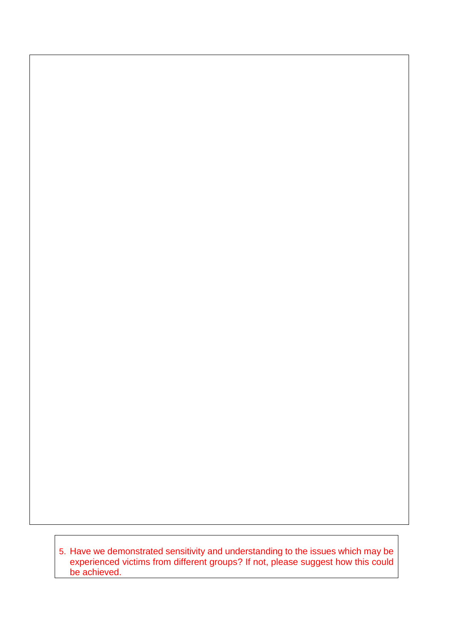5. Have we demonstrated sensitivity and understanding to the issues which may be experienced victims from different groups? If not, please suggest how this could be achieved.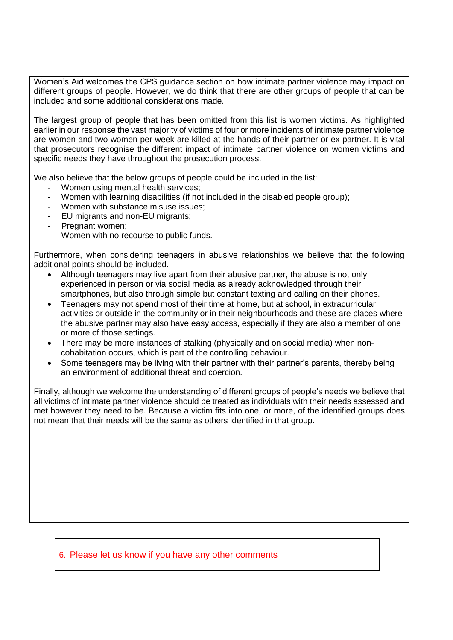Women's Aid welcomes the CPS guidance section on how intimate partner violence may impact on different groups of people. However, we do think that there are other groups of people that can be included and some additional considerations made.

The largest group of people that has been omitted from this list is women victims. As highlighted earlier in our response the vast majority of victims of four or more incidents of intimate partner violence are women and two women per week are killed at the hands of their partner or ex-partner. It is vital that prosecutors recognise the different impact of intimate partner violence on women victims and specific needs they have throughout the prosecution process.

We also believe that the below groups of people could be included in the list:

- Women using mental health services;
- Women with learning disabilities (if not included in the disabled people group);
- Women with substance misuse issues:
- EU migrants and non-EU migrants;
- Pregnant women:
- Women with no recourse to public funds.

Furthermore, when considering teenagers in abusive relationships we believe that the following additional points should be included.

- Although teenagers may live apart from their abusive partner, the abuse is not only experienced in person or via social media as already acknowledged through their smartphones, but also through simple but constant texting and calling on their phones.
- Teenagers may not spend most of their time at home, but at school, in extracurricular activities or outside in the community or in their neighbourhoods and these are places where the abusive partner may also have easy access, especially if they are also a member of one or more of those settings.
- There may be more instances of stalking (physically and on social media) when noncohabitation occurs, which is part of the controlling behaviour.
- Some teenagers may be living with their partner with their partner's parents, thereby being an environment of additional threat and coercion.

Finally, although we welcome the understanding of different groups of people's needs we believe that all victims of intimate partner violence should be treated as individuals with their needs assessed and met however they need to be. Because a victim fits into one, or more, of the identified groups does not mean that their needs will be the same as others identified in that group.

#### 6. Please let us know if you have any other comments